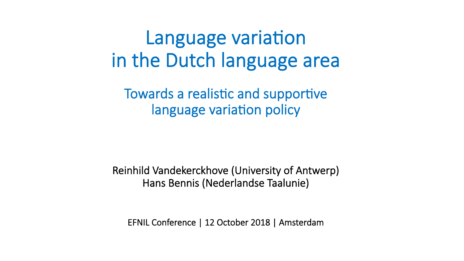# Language variation in the Dutch language area

Towards a realistic and supportive language variation policy

 Reinhild Vandekerckhove (University of Antwerp) Hans Bennis (Nederlandse Taalunie)

EFNIL Conference | 12 October 2018 | Amsterdam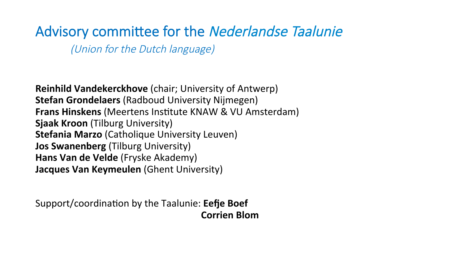### Advisory committee for the Nederlandse Taalunie

(Union for the Dutch language)

**Reinhild Vandekerckhove** (chair; University of Antwerp) **Stefan Grondelaers** (Radboud University Nijmegen) **Frans Hinskens** (Meertens Institute KNAW & VU Amsterdam) **Sjaak Kroon** (Tilburg University) **Stefania Marzo** (Catholique University Leuven) **Jos Swanenberg** (Tilburg University) **Hans Van de Velde** (Fryske Akademy) **Jacques Van Keymeulen** (Ghent University)

Support/coordination by the Taalunie: **Eefje Boef Corrien Blom**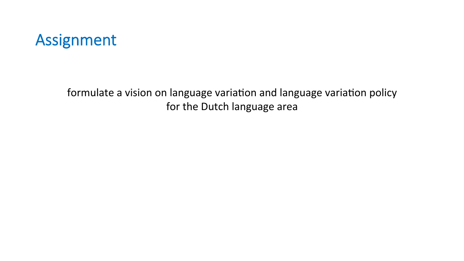### Assignment

formulate a vision on language variation and language variation policy for the Dutch language area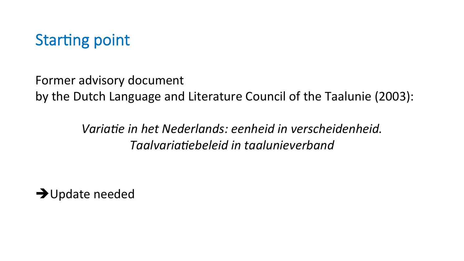

Former advisory document by the Dutch Language and Literature Council of the Taalunie (2003):

> *Variatie in het Nederlands: eenheid in verscheidenheid. Taalvaria%ebeleid in taalunieverband*

 $\rightarrow$ Update needed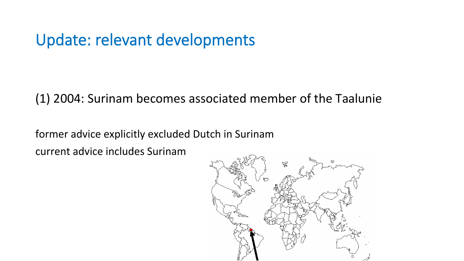### Update: relevant developments

(1) 2004: Surinam becomes associated member of the Taalunie

former advice explicitly excluded Dutch in Surinam

current advice includes Surinam

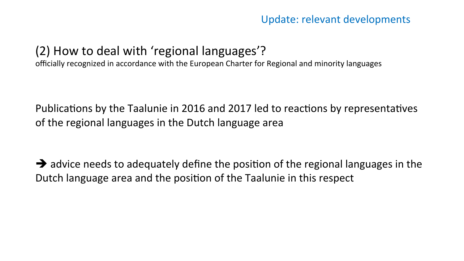#### Update: relevant developments

#### (2) How to deal with 'regional languages'?

officially recognized in accordance with the European Charter for Regional and minority languages

Publications by the Taalunie in 2016 and 2017 led to reactions by representatives of the regional languages in the Dutch language area

 $\rightarrow$  advice needs to adequately define the position of the regional languages in the Dutch language area and the position of the Taalunie in this respect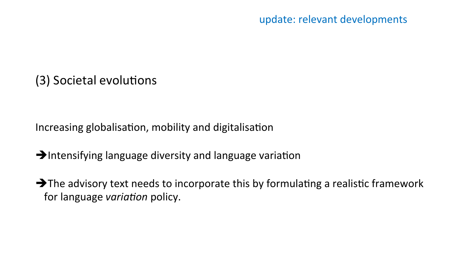#### (3) Societal evolutions

Increasing globalisation, mobility and digitalisation

- $\rightarrow$ Intensifying language diversity and language variation
- $\rightarrow$  The advisory text needs to incorporate this by formulating a realistic framework for language *variation* policy.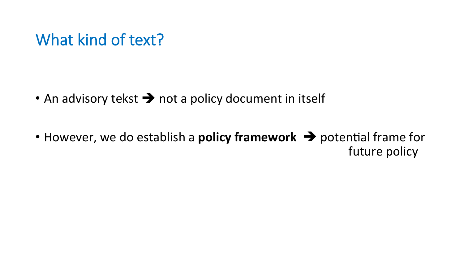### What kind of text?

- An advisory tekst  $\rightarrow$  not a policy document in itself
- However, we do establish a **policy framework**  $\rightarrow$  potential frame for future policy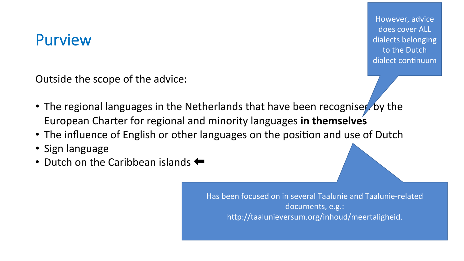### Purview

However, advice does cover ALL dialects belonging to the Dutch dialect continuum

Outside the scope of the advice:

- The regional languages in the Netherlands that have been recognised by the European Charter for regional and minority languages in themselves
- The influence of English or other languages on the position and use of Dutch
- Sign language
- Dutch on the Caribbean islands  $\leftarrow$

Has been focused on in several Taalunie and Taalunie-related documents, e.g.: http://taalunieversum.org/inhoud/meertaligheid.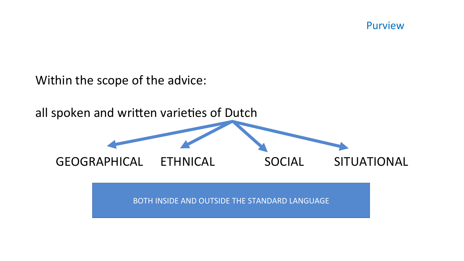Purview

Within the scope of the advice:

all spoken and written varieties of Dutch GEOGRAPHICAL ETHNICAL SOCIAL SITUATIONAL BOTH INSIDE AND OUTSIDE THE STANDARD LANGUAGE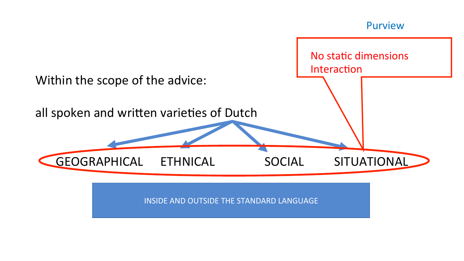

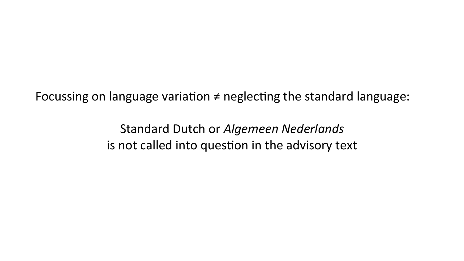Focussing on language variation  $\neq$  neglecting the standard language:

Standard Dutch or *Algemeen Nederlands* is not called into question in the advisory text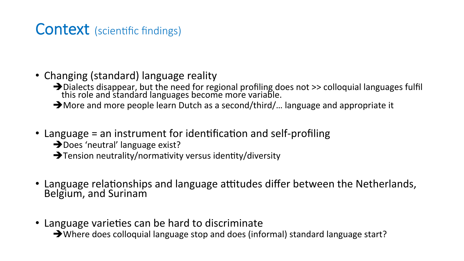### Context (scientific findings)

- Changing (standard) language reality
	- $\rightarrow$  Dialects disappear, but the need for regional profiling does not >> colloquial languages fulfil this role and standard languages become more variable.
	- $\rightarrow$  More and more people learn Dutch as a second/third/... language and appropriate it
- Language  $=$  an instrument for identification and self-profiling
	- $\rightarrow$  Does 'neutral' language exist?
	- $\rightarrow$  Tension neutrality/normativity versus identity/diversity
- Language relationships and language attitudes differ between the Netherlands, Belgium, and Surinam
- Language varieties can be hard to discriminate

 $\rightarrow$  Where does colloquial language stop and does (informal) standard language start?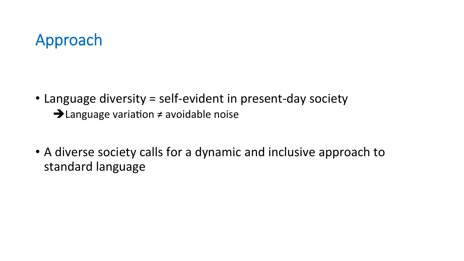## Approach

- Language diversity = self-evident in present-day society  $\rightarrow$  Language variation  $\neq$  avoidable noise
- A diverse society calls for a dynamic and inclusive approach to standard language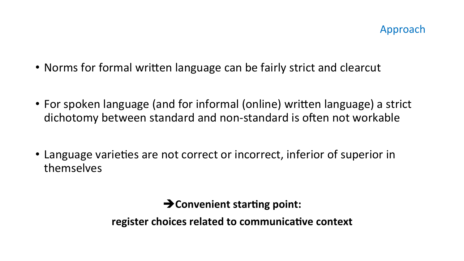- Norms for formal written language can be fairly strict and clearcut
- For spoken language (and for informal (online) written language) a strict dichotomy between standard and non-standard is often not workable
- Language varieties are not correct or incorrect, inferior of superior in themselves

 $\rightarrow$  Convenient starting point:

**register choices related to communicative context**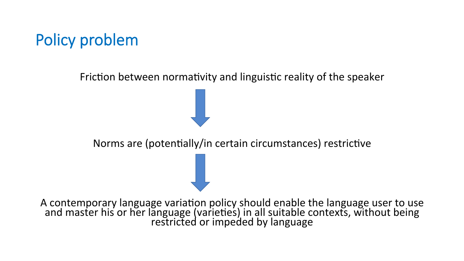## Policy problem

Friction between normativity and linguistic reality of the speaker

Norms are (potentially/in certain circumstances) restrictive

A contemporary language variation policy should enable the language user to use and master his or her language (varieties) in all suitable contexts, without being<br>restricted or impeded by language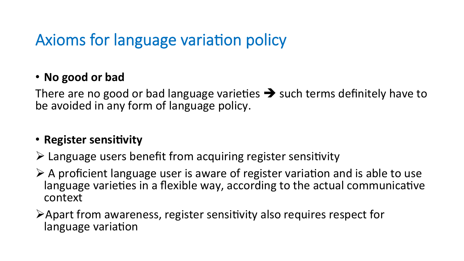## Axioms for language variation policy

#### • **No good or bad**

There are no good or bad language varieties  $\rightarrow$  such terms definitely have to be avoided in any form of language policy.

#### • **Register sensitivity**

- $\triangleright$  Language users benefit from acquiring register sensitivity
- $\triangleright$  A proficient language user is aware of register variation and is able to use language varieties in a flexible way, according to the actual communicative context
- $\triangleright$  Apart from awareness, register sensitivity also requires respect for language variation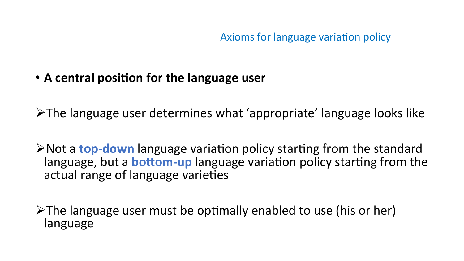Axioms for language variation policy

• A central position for the language user

 $\triangleright$ The language user determines what 'appropriate' language looks like

**≻Not a top-down** language variation policy starting from the standard language, but a **bottom-up** language variation policy starting from the actual range of language varieties

 $\triangleright$ The language user must be optimally enabled to use (his or her) language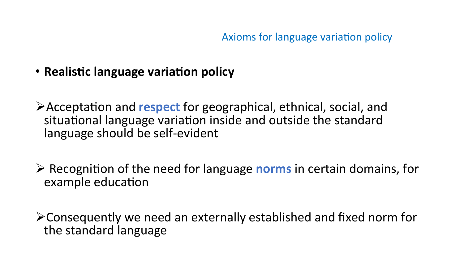• **Realistic language** variation policy

Acceptation and respect for geographical, ethnical, social, and situational language variation inside and outside the standard language should be self-evident 

 $\triangleright$  Recognition of the need for language **norms** in certain domains, for example education

 $\triangleright$  Consequently we need an externally established and fixed norm for the standard language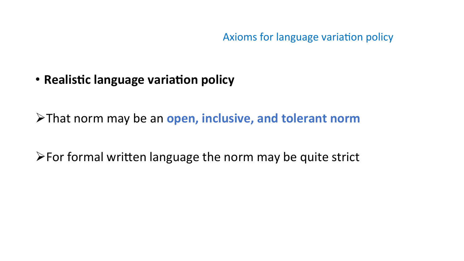Axioms for language variation policy

**• Realistic language variation policy** 

 $\triangleright$  That norm may be an open, inclusive, and tolerant norm

 $\triangleright$  For formal written language the norm may be quite strict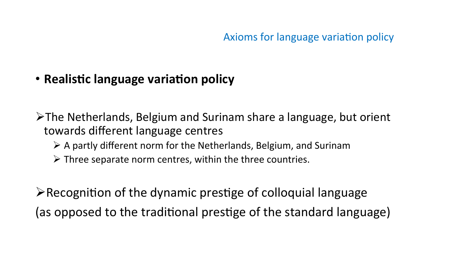#### • Realistic language variation policy

 $\triangleright$ The Netherlands, Belgium and Surinam share a language, but orient towards different language centres

- $\triangleright$  A partly different norm for the Netherlands, Belgium, and Surinam
- $\triangleright$  Three separate norm centres, within the three countries.

 $\triangleright$  Recognition of the dynamic prestige of colloquial language (as opposed to the traditional prestige of the standard language)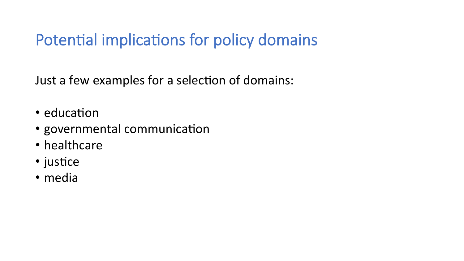Just a few examples for a selection of domains:

- education
- governmental communication
- healthcare
- $\cdot$  justice
- media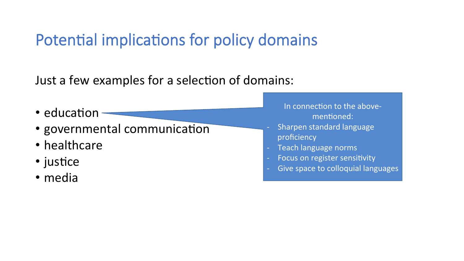Just a few examples for a selection of domains:

- education
- governmental communication
- healthcare
- $\cdot$  justice
- media
- In connection to the abovementioned:
- Sharpen standard language proficiency
- Teach language norms
- Focus on register sensitivity
- Give space to colloquial languages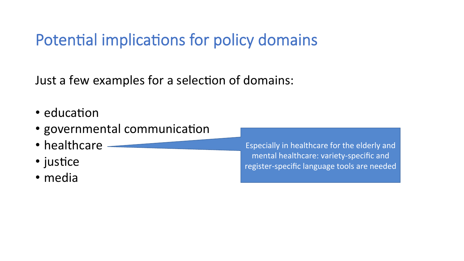Just a few examples for a selection of domains:

- $\cdot$  education
- governmental communication
- healthcare
- $\cdot$  justice
- media

Especially in healthcare for the elderly and mental healthcare: variety-specific and register-specific language tools are needed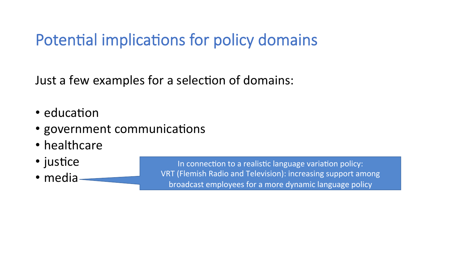Just a few examples for a selection of domains:

- $\cdot$  education
- government communications
- healthcare
- $\cdot$  justice
- media

In connection to a realistic language variation policy: VRT (Flemish Radio and Television): increasing support among broadcast employees for a more dynamic language policy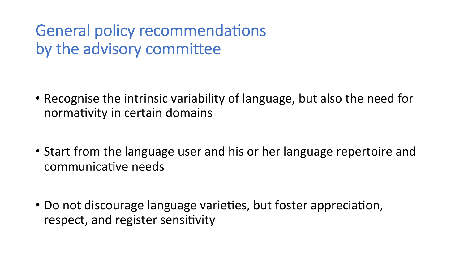General policy recommendations by the advisory committee

- Recognise the intrinsic variability of language, but also the need for normativity in certain domains
- Start from the language user and his or her language repertoire and communicative needs
- Do not discourage language varieties, but foster appreciation, respect, and register sensitivity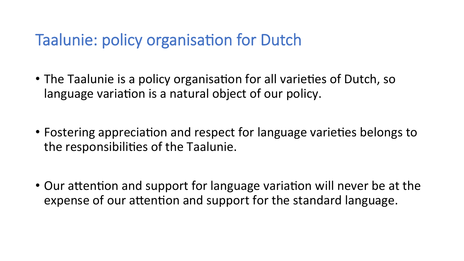### Taalunie: policy organisation for Dutch

- The Taalunie is a policy organisation for all varieties of Dutch, so language variation is a natural object of our policy.
- Fostering appreciation and respect for language varieties belongs to the responsibilities of the Taalunie.
- Our attention and support for language variation will never be at the expense of our attention and support for the standard language.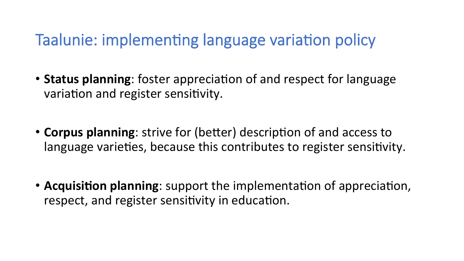### Taalunie: implementing language variation policy

- **Status planning**: foster appreciation of and respect for language variation and register sensitivity.
- **Corpus planning**: strive for (better) description of and access to language varieties, because this contributes to register sensitivity.
- **Acquisition planning**: support the implementation of appreciation, respect, and register sensitivity in education.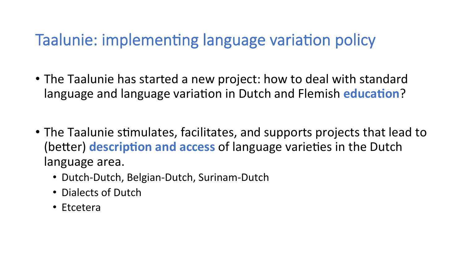### Taalunie: implementing language variation policy

- The Taalunie has started a new project: how to deal with standard language and language variation in Dutch and Flemish **education**?
- The Taalunie stimulates, facilitates, and supports projects that lead to (better) **description and access** of language varieties in the Dutch language area.
	- Dutch-Dutch, Belgian-Dutch, Surinam-Dutch
	- Dialects of Dutch
	- Etcetera